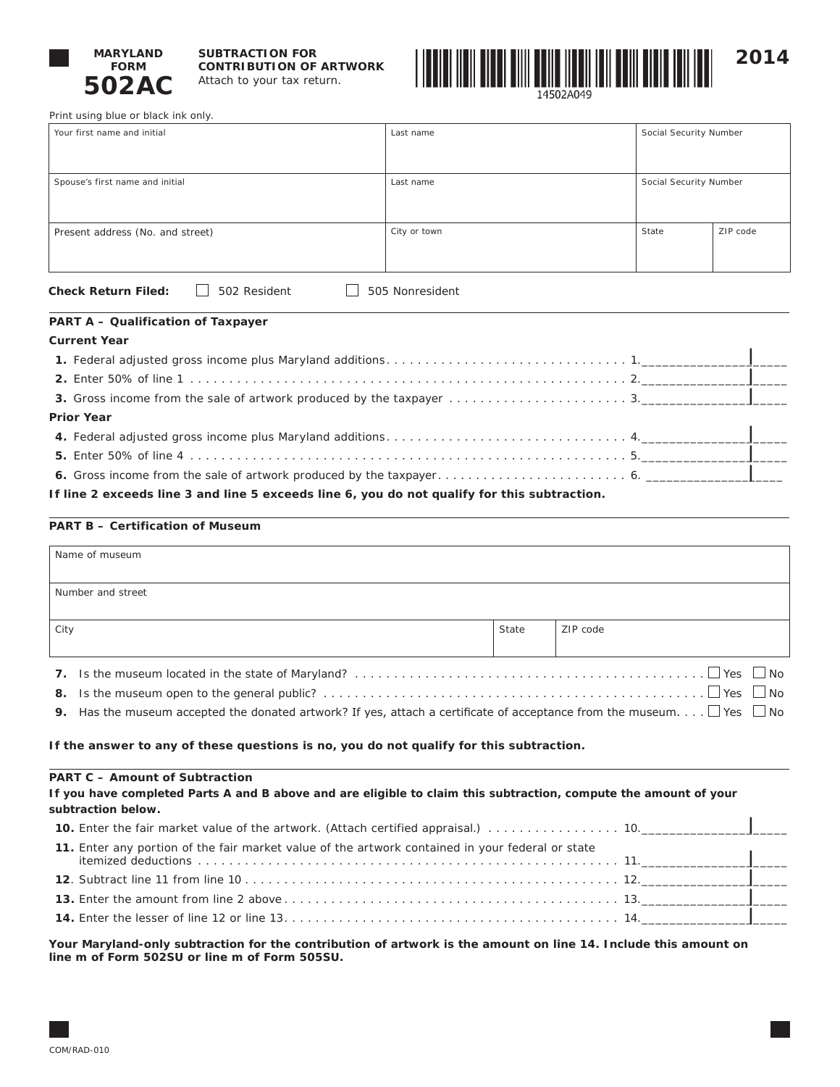

### **SUBTRACTION FOR CONTRIBUTION OF ARTWORK** Attach to your tax return.



------ -------<br>14502A049

Print using blue or black ink only.

| Your first name and initial                                | Last name       | Social Security Number |          |
|------------------------------------------------------------|-----------------|------------------------|----------|
|                                                            |                 |                        |          |
| Spouse's first name and initial                            | Last name       | Social Security Number |          |
| Present address (No. and street)                           | City or town    | State                  | ZIP code |
| <b>Check Return Filed:</b><br>502 Resident<br>$\mathbf{I}$ | 505 Nonresident |                        |          |

# **PART A – Qualification of Taxpayer**

# **Current Year**

| <b>Prior Year</b>                                                                            |  |
|----------------------------------------------------------------------------------------------|--|
|                                                                                              |  |
|                                                                                              |  |
|                                                                                              |  |
| If line 2 exceeds line 3 and line 5 exceeds line 6, you do not qualify for this subtraction. |  |

# **PART B – Certification of Museum**

| State                                                                                            | ZIP code                                                                                                                      |  |  |  |  |  |
|--------------------------------------------------------------------------------------------------|-------------------------------------------------------------------------------------------------------------------------------|--|--|--|--|--|
|                                                                                                  |                                                                                                                               |  |  |  |  |  |
|                                                                                                  |                                                                                                                               |  |  |  |  |  |
| $\vert$ No<br>8.                                                                                 |                                                                                                                               |  |  |  |  |  |
|                                                                                                  | Has the museum accepted the donated artwork? If yes, attach a certificate of acceptance from the museum. $\Box$ Yes $\Box$ No |  |  |  |  |  |
|                                                                                                  |                                                                                                                               |  |  |  |  |  |
| If the answer to any of these questions is no, you do not qualify for this subtraction.          |                                                                                                                               |  |  |  |  |  |
|                                                                                                  |                                                                                                                               |  |  |  |  |  |
|                                                                                                  | If you have completed Parts A and B above and are eligible to claim this subtraction, compute the amount of your              |  |  |  |  |  |
|                                                                                                  |                                                                                                                               |  |  |  |  |  |
|                                                                                                  | 10. Enter the fair market value of the artwork. (Attach certified appraisal.) 10.                                             |  |  |  |  |  |
| 11. Enter any portion of the fair market value of the artwork contained in your federal or state |                                                                                                                               |  |  |  |  |  |
|                                                                                                  |                                                                                                                               |  |  |  |  |  |
|                                                                                                  |                                                                                                                               |  |  |  |  |  |

**Your Maryland-only subtraction for the contribution of artwork is the amount on line 14. Include this amount on line m of Form 502SU or line m of Form 505SU.**